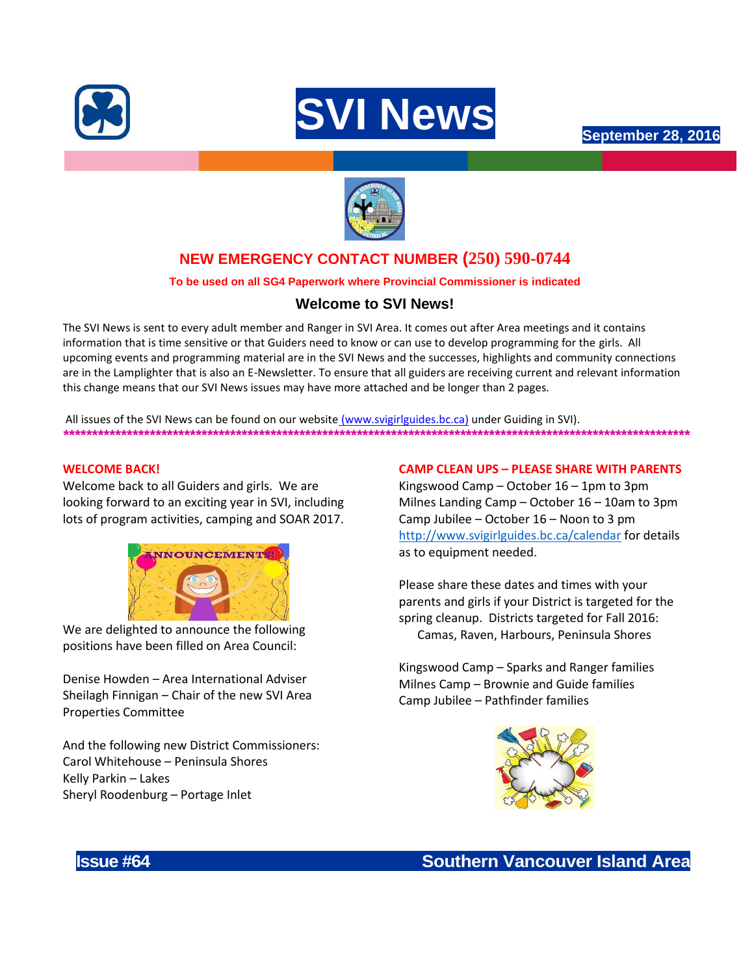





# **NEW EMERGENCY CONTACT NUMBER (250) 590-0744**

# **To be used on all SG4 Paperwork where Provincial Commissioner is indicated**

# **Welcome to SVI News!**

The SVI News is sent to every adult member and Ranger in SVI Area. It comes out after Area meetings and it contains information that is time sensitive or that Guiders need to know or can use to develop programming for the girls. All upcoming events and programming material are in the SVI News and the successes, highlights and community connections are in the Lamplighter that is also an E-Newsletter. To ensure that all guiders are receiving current and relevant information this change means that our SVI News issues may have more attached and be longer than 2 pages.

All issues of the SVI News can be found on our website [\(www.svigirlguides.bc.ca\)](http://www.svigirlguides.bc.ca/) under Guiding in SVI). *\*\*\*\*\*\*\*\*\*\*\*\*\*\*\*\*\*\*\*\*\*\*\*\*\*\*\*\*\*\*\*\*\*\*\*\*\*\*\*\*\*\*\*\*\*\*\*\*\*\*\*\*\*\*\*\*\*\*\*\*\*\*\*\*\*\*\*\*\*\*\*\*\*\*\*\*\*\*\*\*\*\*\*\*\*\*\*\*\*\*\*\*\*\*\*\*\*\*\*\*\*\*\*\*\*\*\*\*\**

#### **WELCOME BACK!**

Welcome back to all Guiders and girls. We are looking forward to an exciting year in SVI, including lots of program activities, camping and SOAR 2017.



We are delighted to announce the following positions have been filled on Area Council:

Denise Howden – Area International Adviser Sheilagh Finnigan – Chair of the new SVI Area Properties Committee

And the following new District Commissioners: Carol Whitehouse – Peninsula Shores Kelly Parkin – Lakes Sheryl Roodenburg – Portage Inlet

### **CAMP CLEAN UPS – PLEASE SHARE WITH PARENTS**

Kingswood Camp – October 16 – 1pm to 3pm Milnes Landing Camp – October 16 – 10am to 3pm Camp Jubilee – October 16 – Noon to 3 pm <http://www.svigirlguides.bc.ca/calendar> for details as to equipment needed.

Please share these dates and times with your parents and girls if your District is targeted for the spring cleanup. Districts targeted for Fall 2016: Camas, Raven, Harbours, Peninsula Shores

Kingswood Camp – Sparks and Ranger families Milnes Camp – Brownie and Guide families Camp Jubilee – Pathfinder families



**Issue #64 Southern Vancouver Island Area**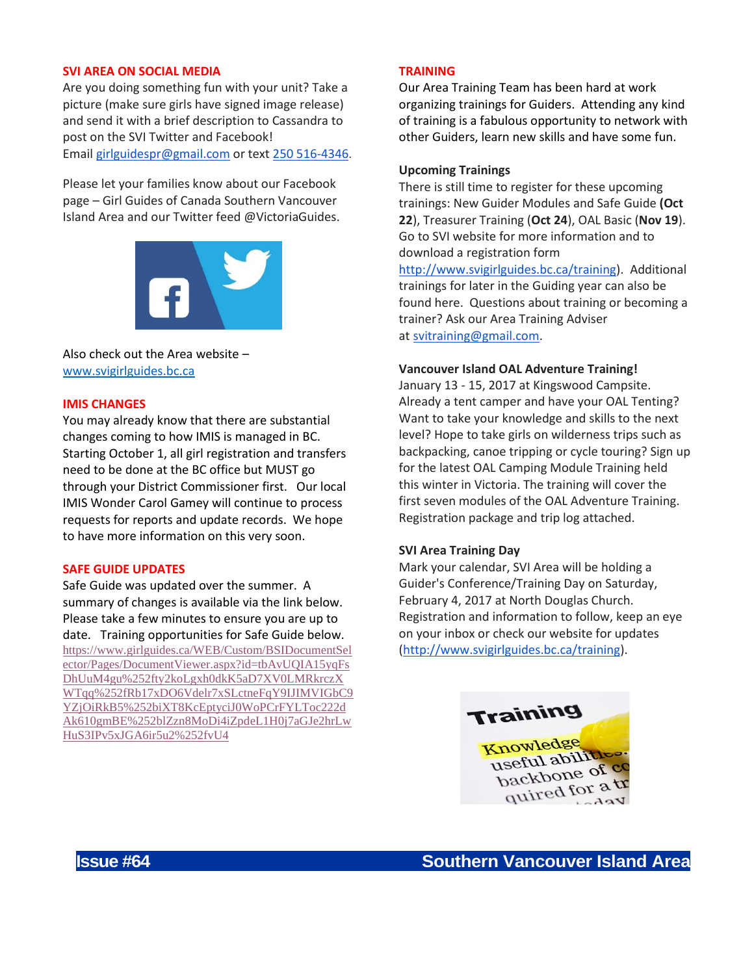#### **SVI AREA ON SOCIAL MEDIA**

Are you doing something fun with your unit? Take a picture (make sure girls have signed image release) and send it with a brief description to Cassandra to post on the SVI Twitter and Facebook! Email [girlguidespr@gmail.com](mailto:girlguidespr@gmail.com) or text [250 516-4346](tel:250%20516-4346).

Please let your families know about our Facebook page – Girl Guides of Canada Southern Vancouver Island Area and our Twitter feed @VictoriaGuides.



Also check out the Area website – [www.svigirlguides.bc.ca](http://www.svigirlguides.bc.ca/)

#### **IMIS CHANGES**

You may already know that there are substantial changes coming to how IMIS is managed in BC. Starting October 1, all girl registration and transfers need to be done at the BC office but MUST go through your District Commissioner first. Our local IMIS Wonder Carol Gamey will continue to process requests for reports and update records. We hope to have more information on this very soon.

#### **SAFE GUIDE UPDATES**

Safe Guide was updated over the summer. A summary of changes is available via the link below. Please take a few minutes to ensure you are up to date. Training opportunities for Safe Guide below. [https://www.girlguides.ca/WEB/Custom/BSIDocumentSel](https://www.girlguides.ca/WEB/Custom/BSIDocumentSelector/Pages/DocumentViewer.aspx?id=tbAvUQIA15yqFsDhUuM4gu%252fty2koLgxh0dkK5aD7XV0LMRkrczXWTqq%252fRb17xDO6Vdelr7xSLctneFqY9IJIMVIGbC9YZjOiRkB5%252biXT8KcEptyciJ0WoPCrFYLToc222dAk610gmBE%252blZzn8MoDi4iZpdeL1H0j7aGJe2hrLwHuS3IPv5xJGA6ir5u2%252fvU4) [ector/Pages/DocumentViewer.aspx?id=tbAvUQIA15yqFs](https://www.girlguides.ca/WEB/Custom/BSIDocumentSelector/Pages/DocumentViewer.aspx?id=tbAvUQIA15yqFsDhUuM4gu%252fty2koLgxh0dkK5aD7XV0LMRkrczXWTqq%252fRb17xDO6Vdelr7xSLctneFqY9IJIMVIGbC9YZjOiRkB5%252biXT8KcEptyciJ0WoPCrFYLToc222dAk610gmBE%252blZzn8MoDi4iZpdeL1H0j7aGJe2hrLwHuS3IPv5xJGA6ir5u2%252fvU4) [DhUuM4gu%252fty2koLgxh0dkK5aD7XV0LMRkrczX](https://www.girlguides.ca/WEB/Custom/BSIDocumentSelector/Pages/DocumentViewer.aspx?id=tbAvUQIA15yqFsDhUuM4gu%252fty2koLgxh0dkK5aD7XV0LMRkrczXWTqq%252fRb17xDO6Vdelr7xSLctneFqY9IJIMVIGbC9YZjOiRkB5%252biXT8KcEptyciJ0WoPCrFYLToc222dAk610gmBE%252blZzn8MoDi4iZpdeL1H0j7aGJe2hrLwHuS3IPv5xJGA6ir5u2%252fvU4) [WTqq%252fRb17xDO6Vdelr7xSLctneFqY9IJIMVIGbC9](https://www.girlguides.ca/WEB/Custom/BSIDocumentSelector/Pages/DocumentViewer.aspx?id=tbAvUQIA15yqFsDhUuM4gu%252fty2koLgxh0dkK5aD7XV0LMRkrczXWTqq%252fRb17xDO6Vdelr7xSLctneFqY9IJIMVIGbC9YZjOiRkB5%252biXT8KcEptyciJ0WoPCrFYLToc222dAk610gmBE%252blZzn8MoDi4iZpdeL1H0j7aGJe2hrLwHuS3IPv5xJGA6ir5u2%252fvU4) [YZjOiRkB5%252biXT8KcEptyciJ0WoPCrFYLToc222d](https://www.girlguides.ca/WEB/Custom/BSIDocumentSelector/Pages/DocumentViewer.aspx?id=tbAvUQIA15yqFsDhUuM4gu%252fty2koLgxh0dkK5aD7XV0LMRkrczXWTqq%252fRb17xDO6Vdelr7xSLctneFqY9IJIMVIGbC9YZjOiRkB5%252biXT8KcEptyciJ0WoPCrFYLToc222dAk610gmBE%252blZzn8MoDi4iZpdeL1H0j7aGJe2hrLwHuS3IPv5xJGA6ir5u2%252fvU4) [Ak610gmBE%252blZzn8MoDi4iZpdeL1H0j7aGJe2hrLw](https://www.girlguides.ca/WEB/Custom/BSIDocumentSelector/Pages/DocumentViewer.aspx?id=tbAvUQIA15yqFsDhUuM4gu%252fty2koLgxh0dkK5aD7XV0LMRkrczXWTqq%252fRb17xDO6Vdelr7xSLctneFqY9IJIMVIGbC9YZjOiRkB5%252biXT8KcEptyciJ0WoPCrFYLToc222dAk610gmBE%252blZzn8MoDi4iZpdeL1H0j7aGJe2hrLwHuS3IPv5xJGA6ir5u2%252fvU4) [HuS3IPv5xJGA6ir5u2%252fvU4](https://www.girlguides.ca/WEB/Custom/BSIDocumentSelector/Pages/DocumentViewer.aspx?id=tbAvUQIA15yqFsDhUuM4gu%252fty2koLgxh0dkK5aD7XV0LMRkrczXWTqq%252fRb17xDO6Vdelr7xSLctneFqY9IJIMVIGbC9YZjOiRkB5%252biXT8KcEptyciJ0WoPCrFYLToc222dAk610gmBE%252blZzn8MoDi4iZpdeL1H0j7aGJe2hrLwHuS3IPv5xJGA6ir5u2%252fvU4)

#### **TRAINING**

Our Area Training Team has been hard at work organizing trainings for Guiders. Attending any kind of training is a fabulous opportunity to network with other Guiders, learn new skills and have some fun.

#### **Upcoming Trainings**

There is still time to register for these upcoming trainings: New Guider Modules and Safe Guide **(Oct 22**), Treasurer Training (**Oct 24**), OAL Basic (**Nov 19**). Go to SVI website for more information and to download a registration form [http://www.svigirlguides.bc.ca/training\)](http://www.svigirlguides.bc.ca/training). Additional trainings for later in the Guiding year can also be found here. Questions about training or becoming a trainer? Ask our Area Training Adviser at [svitraining@gmail.com.](mailto:svitraining@gmail.com)

#### **Vancouver Island OAL Adventure Training!**

January 13 - 15, 2017 at Kingswood Campsite. Already a tent camper and have your OAL Tenting? Want to take your knowledge and skills to the next level? Hope to take girls on wilderness trips such as backpacking, canoe tripping or cycle touring? Sign up for the latest OAL Camping Module Training held this winter in Victoria. The training will cover the first seven modules of the OAL Adventure Training. Registration package and trip log attached.

#### **SVI Area Training Day**

Mark your calendar, SVI Area will be holding a Guider's Conference/Training Day on Saturday, February 4, 2017 at North Douglas Church. Registration and information to follow, keep an eye on your inbox or check our website for updates [\(http://www.svigirlguides.bc.ca/training\)](http://www.svigirlguides.bc.ca/training).

Training Knowledge useful abilitie backbone of quired for a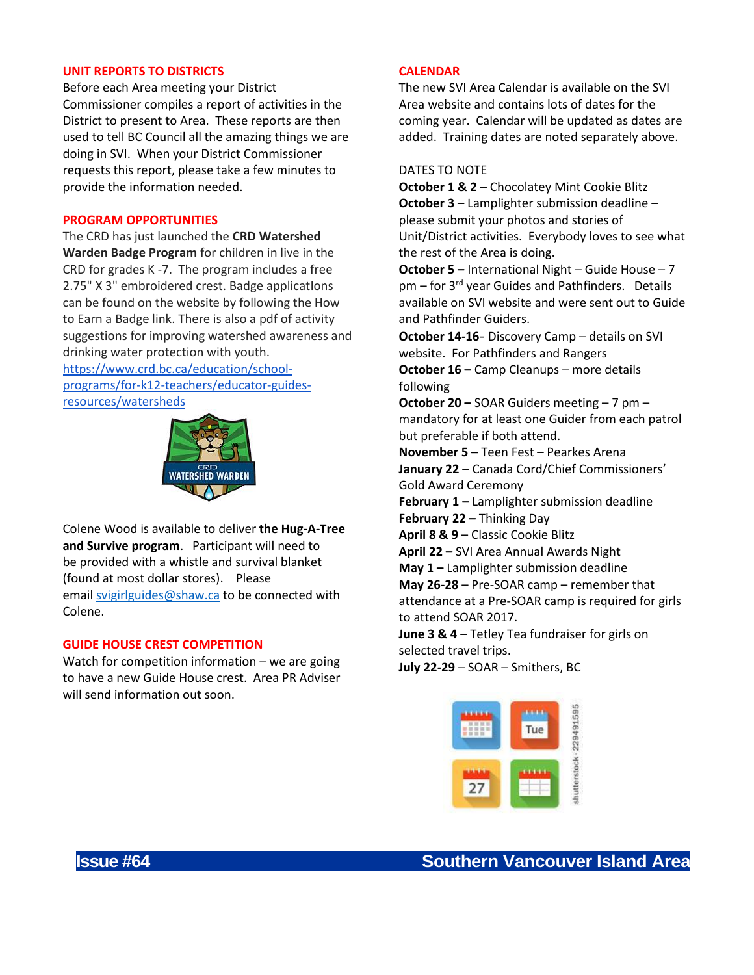#### **UNIT REPORTS TO DISTRICTS**

Before each Area meeting your District Commissioner compiles a report of activities in the District to present to Area. These reports are then used to tell BC Council all the amazing things we are doing in SVI. When your District Commissioner requests this report, please take a few minutes to provide the information needed.

#### **PROGRAM OPPORTUNITIES**

The CRD has just launched the **CRD Watershed Warden Badge Program** for children in live in the CRD for grades K -7. The program includes a free 2.75" X 3" embroidered crest. Badge applicatIons can be found on the website by following the How to Earn a Badge link. There is also a pdf of activity suggestions for improving watershed awareness and drinking water protection with youth.

[https://www.crd.bc.ca/education/school](https://www.crd.bc.ca/education/school-programs/for-k12-teachers/educator-guides-resources/watersheds)[programs/for-k12-teachers/educator-guides](https://www.crd.bc.ca/education/school-programs/for-k12-teachers/educator-guides-resources/watersheds)[resources/watersheds](https://www.crd.bc.ca/education/school-programs/for-k12-teachers/educator-guides-resources/watersheds)



Colene Wood is available to deliver **the Hug-A-Tree and Survive program**. Participant will need to be provided with a whistle and survival blanket (found at most dollar stores). Please email [svigirlguides@shaw.ca](mailto:svigirlguides@shaw.ca) to be connected with Colene.

#### **GUIDE HOUSE CREST COMPETITION**

Watch for competition information – we are going to have a new Guide House crest. Area PR Adviser will send information out soon.

#### **CALENDAR**

The new SVI Area Calendar is available on the SVI Area website and contains lots of dates for the coming year. Calendar will be updated as dates are added. Training dates are noted separately above.

# DATES TO NOTE

**October 1 & 2** – Chocolatey Mint Cookie Blitz **October 3** – Lamplighter submission deadline – please submit your photos and stories of Unit/District activities. Everybody loves to see what the rest of the Area is doing.

**October 5 –** International Night – Guide House – 7 pm – for 3<sup>rd</sup> year Guides and Pathfinders. Details available on SVI website and were sent out to Guide and Pathfinder Guiders.

**October 14-16**- Discovery Camp – details on SVI website. For Pathfinders and Rangers

**October 16 –** Camp Cleanups – more details following

**October 20 –** SOAR Guiders meeting – 7 pm – mandatory for at least one Guider from each patrol but preferable if both attend.

**November 5 –** Teen Fest – Pearkes Arena **January 22** – Canada Cord/Chief Commissioners' Gold Award Ceremony

**February 1 –** Lamplighter submission deadline **February 22 –** Thinking Day

**April 8 & 9** – Classic Cookie Blitz

**April 22 –** SVI Area Annual Awards Night

**May 1 –** Lamplighter submission deadline

**May 26-28** – Pre-SOAR camp – remember that attendance at a Pre-SOAR camp is required for girls to attend SOAR 2017.

**June 3 & 4** – Tetley Tea fundraiser for girls on selected travel trips.

**July 22-29** – SOAR – Smithers, BC

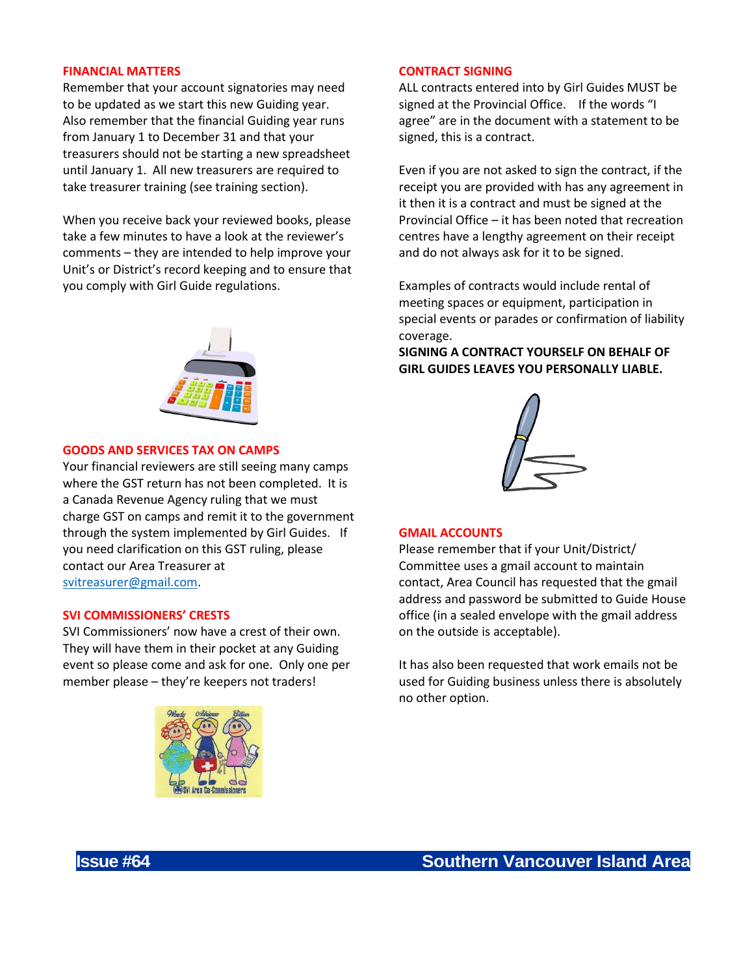#### **FINANCIAL MATTERS**

Remember that your account signatories may need to be updated as we start this new Guiding year. Also remember that the financial Guiding year runs from January 1 to December 31 and that your treasurers should not be starting a new spreadsheet until January 1. All new treasurers are required to take treasurer training (see training section).

When you receive back your reviewed books, please take a few minutes to have a look at the reviewer's comments – they are intended to help improve your Unit's or District's record keeping and to ensure that you comply with Girl Guide regulations.



#### **GOODS AND SERVICES TAX ON CAMPS**

Your financial reviewers are still seeing many camps where the GST return has not been completed. It is a Canada Revenue Agency ruling that we must charge GST on camps and remit it to the government through the system implemented by Girl Guides. If you need clarification on this GST ruling, please contact our Area Treasurer at [svitreasurer@gmail.com.](mailto:svitreasurer@gmail.com)

#### **SVI COMMISSIONERS' CRESTS**

SVI Commissioners' now have a crest of their own. They will have them in their pocket at any Guiding event so please come and ask for one. Only one per member please – they're keepers not traders!



#### **CONTRACT SIGNING**

ALL contracts entered into by Girl Guides MUST be signed at the Provincial Office. If the words "I agree" are in the document with a statement to be signed, this is a contract.

Even if you are not asked to sign the contract, if the receipt you are provided with has any agreement in it then it is a contract and must be signed at the Provincial Office – it has been noted that recreation centres have a lengthy agreement on their receipt and do not always ask for it to be signed.

Examples of contracts would include rental of meeting spaces or equipment, participation in special events or parades or confirmation of liability coverage.

**SIGNING A CONTRACT YOURSELF ON BEHALF OF GIRL GUIDES LEAVES YOU PERSONALLY LIABLE.**



#### **GMAIL ACCOUNTS**

Please remember that if your Unit/District/ Committee uses a gmail account to maintain contact, Area Council has requested that the gmail address and password be submitted to Guide House office (in a sealed envelope with the gmail address on the outside is acceptable).

It has also been requested that work emails not be used for Guiding business unless there is absolutely no other option.